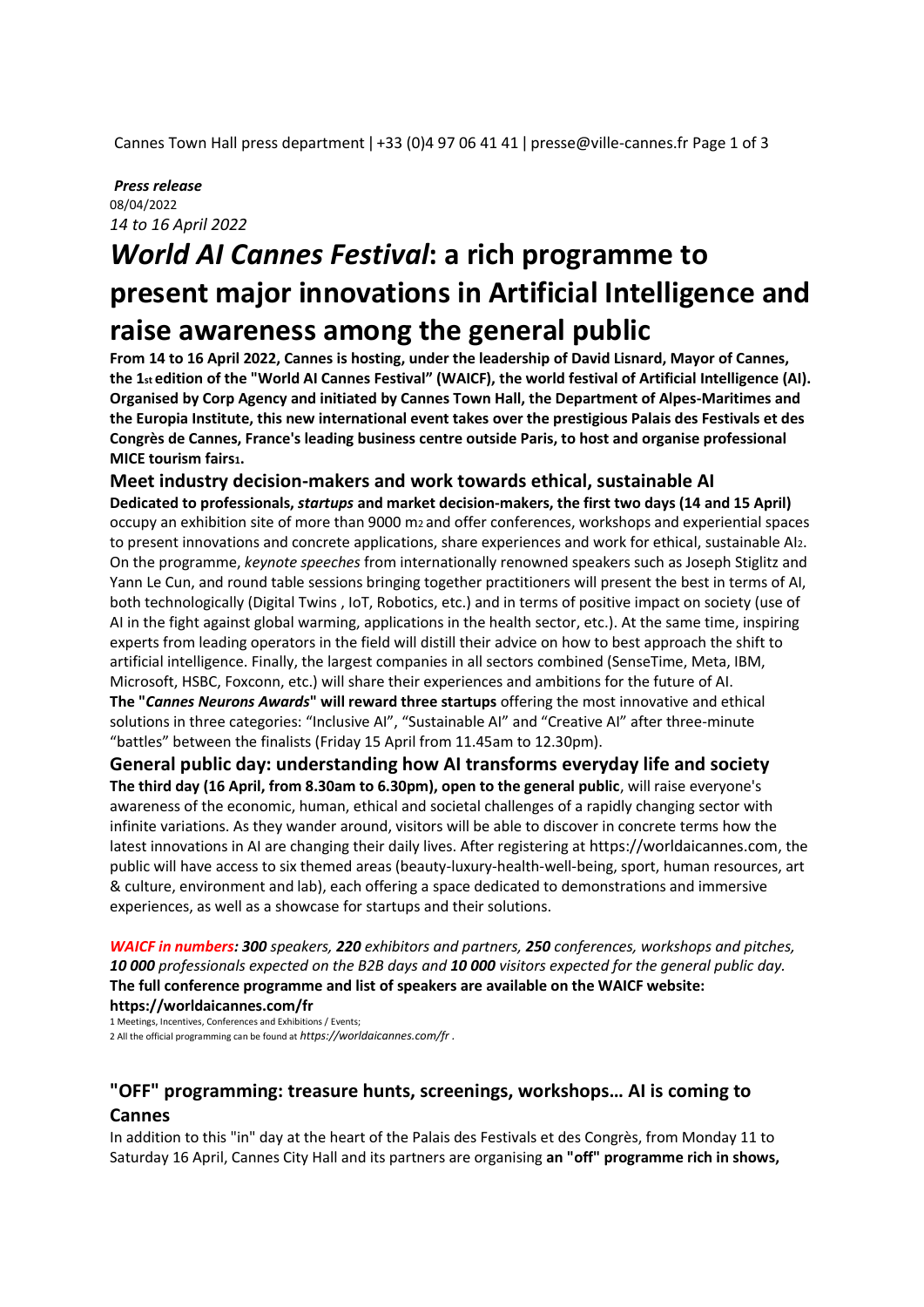Cannes Town Hall press department | +33 (0)4 97 06 41 41 | presse@ville-cannes.fr Page 1 of 3

#### *Press release*  08/04/2022 *14 to 16 April 2022*

# *World AI Cannes Festival***: a rich programme to present major innovations in Artificial Intelligence and raise awareness among the general public**

**From 14 to 16 April 2022, Cannes is hosting, under the leadership of David Lisnard, Mayor of Cannes, the 1st edition of the "World AI Cannes Festival" (WAICF), the world festival of Artificial Intelligence (AI). Organised by Corp Agency and initiated by Cannes Town Hall, the Department of Alpes-Maritimes and the Europia Institute, this new international event takes over the prestigious Palais des Festivals et des Congrès de Cannes, France's leading business centre outside Paris, to host and organise professional MICE tourism fairs1.** 

### **Meet industry decision-makers and work towards ethical, sustainable AI**

**Dedicated to professionals,** *startups* **and market decision-makers, the first two days (14 and 15 April)**  occupy an exhibition site of more than 9000 m2 and offer conferences, workshops and experiential spaces to present innovations and concrete applications, share experiences and work for ethical, sustainable AI2. On the programme, *keynote speeches* from internationally renowned speakers such as Joseph Stiglitz and Yann Le Cun, and round table sessions bringing together practitioners will present the best in terms of AI, both technologically (Digital Twins , IoT, Robotics, etc.) and in terms of positive impact on society (use of AI in the fight against global warming, applications in the health sector, etc.). At the same time, inspiring experts from leading operators in the field will distill their advice on how to best approach the shift to artificial intelligence. Finally, the largest companies in all sectors combined (SenseTime, Meta, IBM, Microsoft, HSBC, Foxconn, etc.) will share their experiences and ambitions for the future of AI. **The "***Cannes Neurons Awards***" will reward three startups** offering the most innovative and ethical solutions in three categories: "Inclusive AI", "Sustainable AI" and "Creative AI" after three-minute "battles" between the finalists (Friday 15 April from 11.45am to 12.30pm).

**General public day: understanding how AI transforms everyday life and society The third day (16 April, from 8.30am to 6.30pm), open to the general public**, will raise everyone's awareness of the economic, human, ethical and societal challenges of a rapidly changing sector with infinite variations. As they wander around, visitors will be able to discover in concrete terms how the latest innovations in AI are changing their daily lives. After registering at https://worldaicannes.com, the public will have access to six themed areas (beauty-luxury-health-well-being, sport, human resources, art & culture, environment and lab), each offering a space dedicated to demonstrations and immersive experiences, as well as a showcase for startups and their solutions.

*WAICF in numbers: 300 speakers, 220 exhibitors and partners, 250 conferences, workshops and pitches, 10 000 professionals expected on the B2B days and 10 000 visitors expected for the general public day.*  **The full conference programme and list of speakers are available on the WAICF website: https://worldaicannes.com/fr** 

1 Meetings, Incentives, Conferences and Exhibitions / Events; 2 All the official programming can be found at *https://worldaicannes.com/fr .* 

## **"OFF" programming: treasure hunts, screenings, workshops… AI is coming to Cannes**

In addition to this "in" day at the heart of the Palais des Festivals et des Congrès, from Monday 11 to Saturday 16 April, Cannes City Hall and its partners are organising **an "off" programme rich in shows,**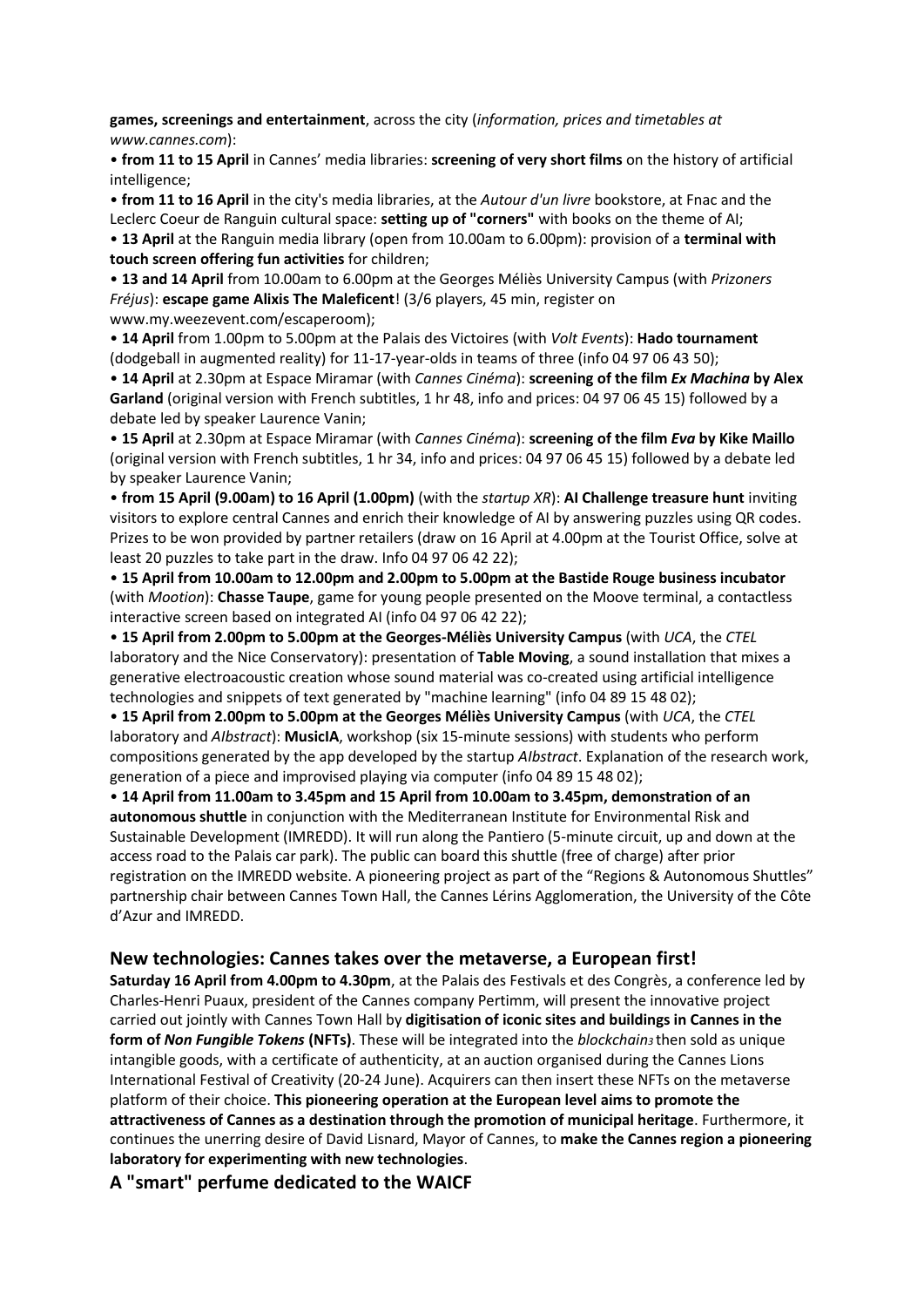**games, screenings and entertainment**, across the city (*information, prices and timetables at www.cannes.com*):

• **from 11 to 15 April** in Cannes' media libraries: **screening of very short films** on the history of artificial intelligence;

• **from 11 to 16 April** in the city's media libraries, at the *Autour d'un livre* bookstore, at Fnac and the Leclerc Coeur de Ranguin cultural space: **setting up of "corners"** with books on the theme of AI; • **13 April** at the Ranguin media library (open from 10.00am to 6.00pm): provision of a **terminal with touch screen offering fun activities** for children;

• **13 and 14 April** from 10.00am to 6.00pm at the Georges Méliès University Campus (with *Prizoners Fréjus*): **escape game Alixis The Maleficent**! (3/6 players, 45 min, register on www.my.weezevent.com/escaperoom);

• **14 April** from 1.00pm to 5.00pm at the Palais des Victoires (with *Volt Events*): **Hado tournament**  (dodgeball in augmented reality) for 11-17-year-olds in teams of three (info 04 97 06 43 50);

• **14 April** at 2.30pm at Espace Miramar (with *Cannes Cinéma*): **screening of the film** *Ex Machina* **by Alex Garland** (original version with French subtitles, 1 hr 48, info and prices: 04 97 06 45 15) followed by a debate led by speaker Laurence Vanin;

• **15 April** at 2.30pm at Espace Miramar (with *Cannes Cinéma*): **screening of the film** *Eva* **by Kike Maillo**  (original version with French subtitles, 1 hr 34, info and prices: 04 97 06 45 15) followed by a debate led by speaker Laurence Vanin;

• **from 15 April (9.00am) to 16 April (1.00pm)** (with the *startup XR*): **AI Challenge treasure hunt** inviting visitors to explore central Cannes and enrich their knowledge of AI by answering puzzles using QR codes. Prizes to be won provided by partner retailers (draw on 16 April at 4.00pm at the Tourist Office, solve at least 20 puzzles to take part in the draw. Info 04 97 06 42 22);

• **15 April from 10.00am to 12.00pm and 2.00pm to 5.00pm at the Bastide Rouge business incubator**  (with *Mootion*): **Chasse Taupe**, game for young people presented on the Moove terminal, a contactless interactive screen based on integrated AI (info 04 97 06 42 22);

• **15 April from 2.00pm to 5.00pm at the Georges-Méliès University Campus** (with *UCA*, the *CTEL*  laboratory and the Nice Conservatory): presentation of **Table Moving**, a sound installation that mixes a generative electroacoustic creation whose sound material was co-created using artificial intelligence technologies and snippets of text generated by "machine learning" (info 04 89 15 48 02);

• **15 April from 2.00pm to 5.00pm at the Georges Méliès University Campus** (with *UCA*, the *CTEL*  laboratory and *AIbstract*): **MusicIA**, workshop (six 15-minute sessions) with students who perform compositions generated by the app developed by the startup *AIbstract*. Explanation of the research work, generation of a piece and improvised playing via computer (info 04 89 15 48 02);

• **14 April from 11.00am to 3.45pm and 15 April from 10.00am to 3.45pm, demonstration of an autonomous shuttle** in conjunction with the Mediterranean Institute for Environmental Risk and Sustainable Development (IMREDD). It will run along the Pantiero (5-minute circuit, up and down at the access road to the Palais car park). The public can board this shuttle (free of charge) after prior registration on the IMREDD website. A pioneering project as part of the "Regions & Autonomous Shuttles" partnership chair between Cannes Town Hall, the Cannes Lérins Agglomeration, the University of the Côte d'Azur and IMREDD.

### **New technologies: Cannes takes over the metaverse, a European first!**

**Saturday 16 April from 4.00pm to 4.30pm**, at the Palais des Festivals et des Congrès, a conference led by Charles-Henri Puaux, president of the Cannes company Pertimm, will present the innovative project carried out jointly with Cannes Town Hall by **digitisation of iconic sites and buildings in Cannes in the form of** *Non Fungible Tokens* **(NFTs)**. These will be integrated into the *blockchain3* then sold as unique intangible goods, with a certificate of authenticity, at an auction organised during the Cannes Lions International Festival of Creativity (20-24 June). Acquirers can then insert these NFTs on the metaverse platform of their choice. **This pioneering operation at the European level aims to promote the attractiveness of Cannes as a destination through the promotion of municipal heritage**. Furthermore, it continues the unerring desire of David Lisnard, Mayor of Cannes, to **make the Cannes region a pioneering laboratory for experimenting with new technologies**.

**A "smart" perfume dedicated to the WAICF**